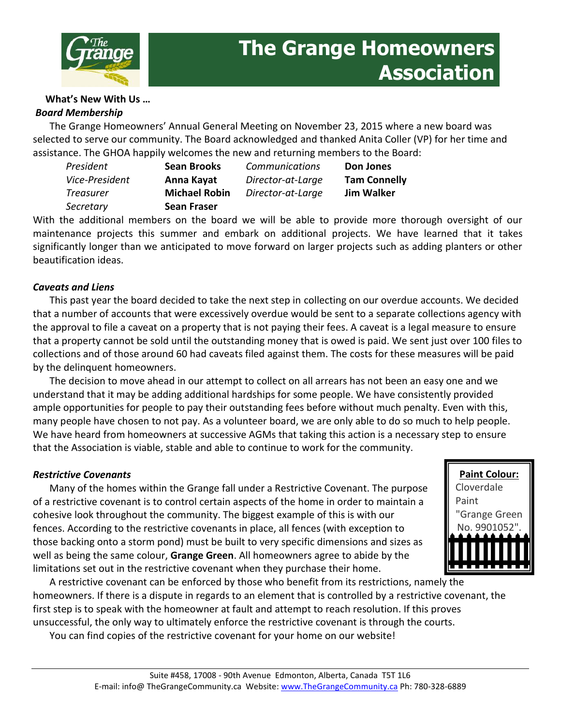

#### **What's New With Us …** *Board Membership*

The Grange Homeowners' Annual General Meeting on November 23, 2015 where a new board was selected to serve our community. The Board acknowledged and thanked Anita Coller (VP) for her time and assistance. The GHOA happily welcomes the new and returning members to the Board:

*President* **Sean Brooks** *Vice-President* **Anna Kayat** *Treasurer* **Michael Robin** *Secretary* **Sean Fraser**

*Communications* **Don Jones** *Director-at-Large* **Tam Connelly** *Director-at-Large* **Jim Walker**

With the additional members on the board we will be able to provide more thorough oversight of our maintenance projects this summer and embark on additional projects. We have learned that it takes significantly longer than we anticipated to move forward on larger projects such as adding planters or other beautification ideas.

### *Caveats and Liens*

This past year the board decided to take the next step in collecting on our overdue accounts. We decided that a number of accounts that were excessively overdue would be sent to a separate collections agency with the approval to file a caveat on a property that is not paying their fees. A caveat is a legal measure to ensure that a property cannot be sold until the outstanding money that is owed is paid. We sent just over 100 files to collections and of those around 60 had caveats filed against them. The costs for these measures will be paid by the delinquent homeowners.

The decision to move ahead in our attempt to collect on all arrears has not been an easy one and we understand that it may be adding additional hardships for some people. We have consistently provided ample opportunities for people to pay their outstanding fees before without much penalty. Even with this, many people have chosen to not pay. As a volunteer board, we are only able to do so much to help people. We have heard from homeowners at successive AGMs that taking this action is a necessary step to ensure that the Association is viable, stable and able to continue to work for the community.

### *Restrictive Covenants*

Many of the homes within the Grange fall under a Restrictive Covenant. The purpose of a restrictive covenant is to control certain aspects of the home in order to maintain a cohesive look throughout the community. The biggest example of this is with our fences. According to the restrictive covenants in place, all fences (with exception to those backing onto a storm pond) must be built to very specific dimensions and sizes as well as being the same colour, **Grange Green**. All homeowners agree to abide by the limitations set out in the restrictive covenant when they purchase their home.



A restrictive covenant can be enforced by those who benefit from its restrictions, namely the homeowners. If there is a dispute in regards to an element that is controlled by a restrictive covenant, the first step is to speak with the homeowner at fault and attempt to reach resolution. If this proves unsuccessful, the only way to ultimately enforce the restrictive covenant is through the courts.

You can find copies of the restrictive covenant for your home on our website!